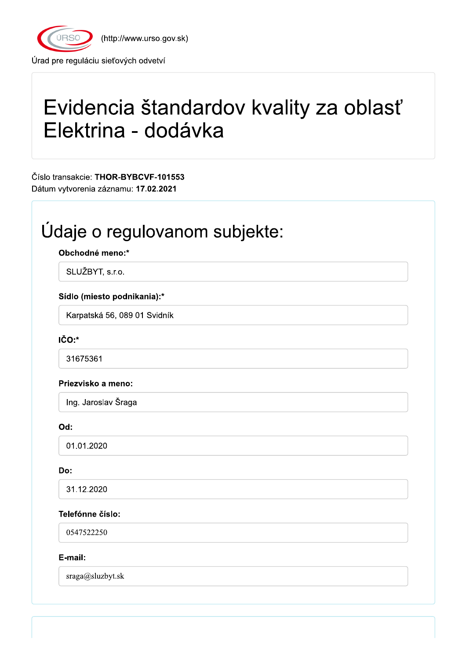

(http://www.urso.gov.sk)

Úrad pre reguláciu sieťových odvetví

# Evidencia štandardov kvality za oblasť Elektrina - dodávka

Číslo transakcie: THOR-BYBCVF-101553 Dátum vytvorenia záznamu: 17.02.2021

## Údaje o regulovanom subjekte:

Obchodné meno:\*

SLUŽBYT, s.r.o.

#### Sídlo (miesto podnikania):\*

Karpatská 56, 089 01 Svidník

IČO:\*

31675361

#### Priezvisko a meno:

Ing. Jaroslav Šraga

Od:

01.01.2020

#### Do:

31.12.2020

#### Telefónne číslo:

0547522250

#### E-mail:

sraga@sluzbyt.sk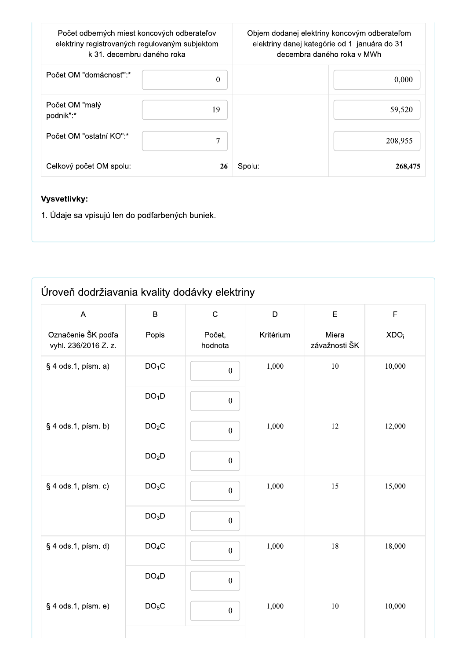|                             | Počet odberných miest koncových odberateľov<br>elektriny registrovaných regulovaným subjektom<br>k 31. decembru daného roka | Objem dodanej elektriny koncovým odberateľom<br>elektriny danej kategórie od 1. januára do 31.<br>decembra daného roka v MWh |         |  |
|-----------------------------|-----------------------------------------------------------------------------------------------------------------------------|------------------------------------------------------------------------------------------------------------------------------|---------|--|
| Počet OM "domácnosť":*      | 0                                                                                                                           |                                                                                                                              | 0,000   |  |
| Počet OM "malý<br>podnik":* | 19                                                                                                                          |                                                                                                                              | 59,520  |  |
| Počet OM "ostatní KO":*     | 7                                                                                                                           |                                                                                                                              | 208,955 |  |
| Celkový počet OM spolu:     | 26                                                                                                                          | Spolu:                                                                                                                       | 268,475 |  |

#### Vysvetlivky:

1. Údaje sa vpisujú len do podfarbených buniek.

### Úroveň dodržiavania kvality dodávky elektriny

| $\boldsymbol{\mathsf{A}}$                  | $\sf B$           | $\mathsf C$       | $\mathsf D$ | E                      | F                |
|--------------------------------------------|-------------------|-------------------|-------------|------------------------|------------------|
| Označenie ŠK podľa<br>vyhl. 236/2016 Z. z. | Popis             | Počet,<br>hodnota | Kritérium   | Miera<br>závažnosti ŠK | XDO <sub>i</sub> |
| $§$ 4 ods.1, písm. a)                      | DO <sub>1</sub> C | $\boldsymbol{0}$  | 1,000       | $10\,$                 | 10,000           |
|                                            | DO <sub>1</sub> D | $\boldsymbol{0}$  |             |                        |                  |
| § 4 ods.1, písm. b)                        | DO <sub>2</sub> C | $\boldsymbol{0}$  | 1,000       | 12                     | 12,000           |
|                                            | DO <sub>2</sub> D | $\boldsymbol{0}$  |             |                        |                  |
| § 4 ods.1, písm. c)                        | DO <sub>3</sub> C | $\boldsymbol{0}$  | 1,000       | 15                     | 15,000           |
|                                            | DO <sub>3</sub> D | $\boldsymbol{0}$  |             |                        |                  |
| § 4 ods.1, písm. d)                        | DO <sub>4</sub> C | $\mathbf{0}$      | 1,000       | $18\,$                 | 18,000           |
|                                            | DO <sub>4</sub> D | $\boldsymbol{0}$  |             |                        |                  |
| § 4 ods.1, písm. e)                        | DO <sub>5</sub> C | $\boldsymbol{0}$  | 1,000       | $10\,$                 | 10,000           |
|                                            |                   |                   |             |                        |                  |